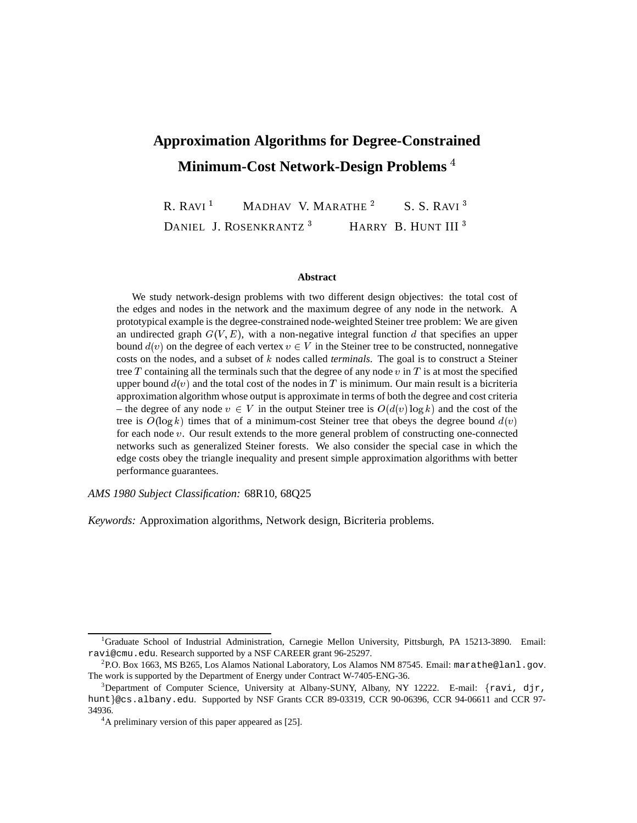# **Approximation Algorithms for Degree-Constrained Minimum-Cost Network-Design Problems** <sup>4</sup>

R. RAVI<sup>1</sup> MADHAV V. MARATHE<sup>2</sup> S. S. RAVI <sup>3</sup> DANIEL J. ROSENKRANTZ<sup>3</sup> HARRY B. HUNT III<sup>3</sup>

#### **Abstract**

We study network-design problems with two different design objectives: the total cost of the edges and nodes in the network and the maximum degree of any node in the network. A prototypical example is the degree-constrained node-weighted Steiner tree problem: We are given an undirected graph  $G(V, E)$ , with a non-negative integral function d that specifies an upper bound  $d(v)$  on the degree of each vertex  $v \in V$  in the Steiner tree to be constructed, nonnegative costs on the nodes, and a subset of <sup>k</sup> nodes called *terminals*. The goal is to construct a Steiner tree  $T$  containing all the terminals such that the degree of any node  $v$  in  $T$  is at most the specified upper bound  $d(v)$  and the total cost of the nodes in T is minimum. Our main result is a bicriteria approximation algorithm whose output is approximate in terms of both the degree and cost criteria – the degree of any node  $v \in V$  in the output Steiner tree is  $O(d(v) \log k)$  and the cost of the tree is  $O(log k)$  times that of a minimum-cost Steiner tree that obeys the degree bound  $d(v)$ for each node <sup>v</sup>. Our result extends to the more general problem of constructing one-connected networks such as generalized Steiner forests. We also consider the special case in which the edge costs obey the triangle inequality and present simple approximation algorithms with better performance guarantees.

*AMS 1980 Subject Classification:* 68R10, 68Q25

*Keywords:* Approximation algorithms, Network design, Bicriteria problems.

<sup>&</sup>lt;sup>1</sup>Graduate School of Industrial Administration, Carnegie Mellon University, Pittsburgh, PA 15213-3890. Email: ravi@cmu.edu. Research supported by a NSF CAREER grant 96-25297.

<sup>2</sup> P.O. Box 1663, MS B265, Los Alamos National Laboratory, Los Alamos NM 87545. Email: marathe@lanl.gov. The work is supported by the Department of Energy under Contract W-7405-ENG-36.

<sup>&</sup>lt;sup>3</sup>Department of Computer Science, University at Albany-SUNY, Albany, NY 12222. E-mail: {ravi, djr, hunt }@cs.albany.edu. Supported by NSF Grants CCR 89-03319, CCR 90-06396, CCR 94-06611 and CCR 97-34936.

<sup>&</sup>lt;sup>4</sup>A preliminary version of this paper appeared as [25].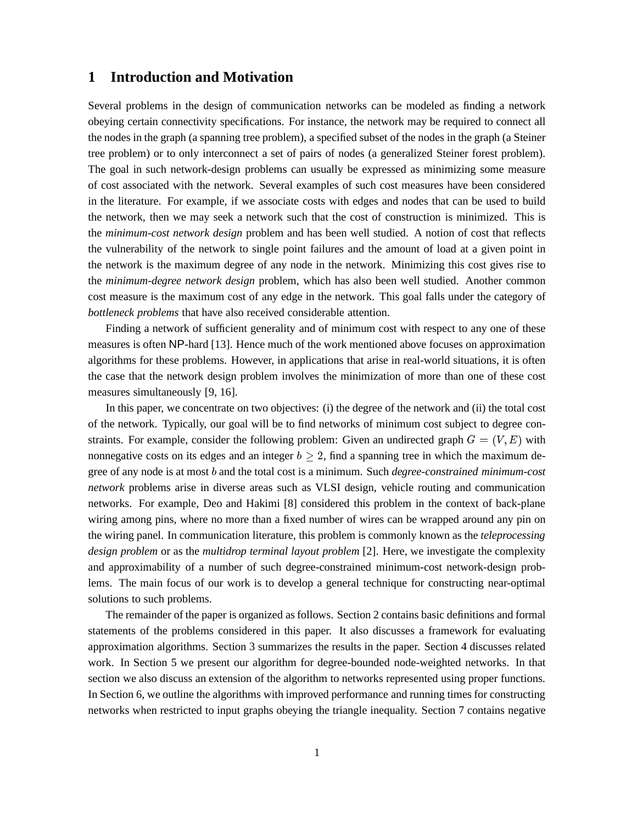# **1 Introduction and Motivation**

Several problems in the design of communication networks can be modeled as finding a network obeying certain connectivity specifications. For instance, the network may be required to connect all the nodes in the graph (a spanning tree problem), a specified subset of the nodes in the graph (a Steiner tree problem) or to only interconnect a set of pairs of nodes (a generalized Steiner forest problem). The goal in such network-design problems can usually be expressed as minimizing some measure of cost associated with the network. Several examples of such cost measures have been considered in the literature. For example, if we associate costs with edges and nodes that can be used to build the network, then we may seek a network such that the cost of construction is minimized. This is the *minimum-cost network design* problem and has been well studied. A notion of cost that reflects the vulnerability of the network to single point failures and the amount of load at a given point in the network is the maximum degree of any node in the network. Minimizing this cost gives rise to the *minimum-degree network design* problem, which has also been well studied. Another common cost measure is the maximum cost of any edge in the network. This goal falls under the category of *bottleneck problems* that have also received considerable attention.

Finding a network of sufficient generality and of minimum cost with respect to any one of these measures is often NP-hard [13]. Hence much of the work mentioned above focuses on approximation algorithms for these problems. However, in applications that arise in real-world situations, it is often the case that the network design problem involves the minimization of more than one of these cost measures simultaneously [9, 16].

In this paper, we concentrate on two objectives: (i) the degree of the network and (ii) the total cost of the network. Typically, our goal will be to find networks of minimum cost subject to degree constraints. For example, consider the following problem: Given an undirected graph  $G = (V, E)$  with nonnegative costs on its edges and an integer  $b \geq 2$ , find a spanning tree in which the maximum degree of any node is at most <sup>b</sup> and the total cost is a minimum. Such *degree-constrained minimum-cost network* problems arise in diverse areas such as VLSI design, vehicle routing and communication networks. For example, Deo and Hakimi [8] considered this problem in the context of back-plane wiring among pins, where no more than a fixed number of wires can be wrapped around any pin on the wiring panel. In communication literature, this problem is commonly known as the *teleprocessing design problem* or as the *multidrop terminal layout problem* [2]. Here, we investigate the complexity and approximability of a number of such degree-constrained minimum-cost network-design problems. The main focus of our work is to develop a general technique for constructing near-optimal solutions to such problems.

The remainder of the paper is organized as follows. Section 2 contains basic definitions and formal statements of the problems considered in this paper. It also discusses a framework for evaluating approximation algorithms. Section 3 summarizes the results in the paper. Section 4 discusses related work. In Section 5 we present our algorithm for degree-bounded node-weighted networks. In that section we also discuss an extension of the algorithm to networks represented using proper functions. In Section 6, we outline the algorithms with improved performance and running times for constructing networks when restricted to input graphs obeying the triangle inequality. Section 7 contains negative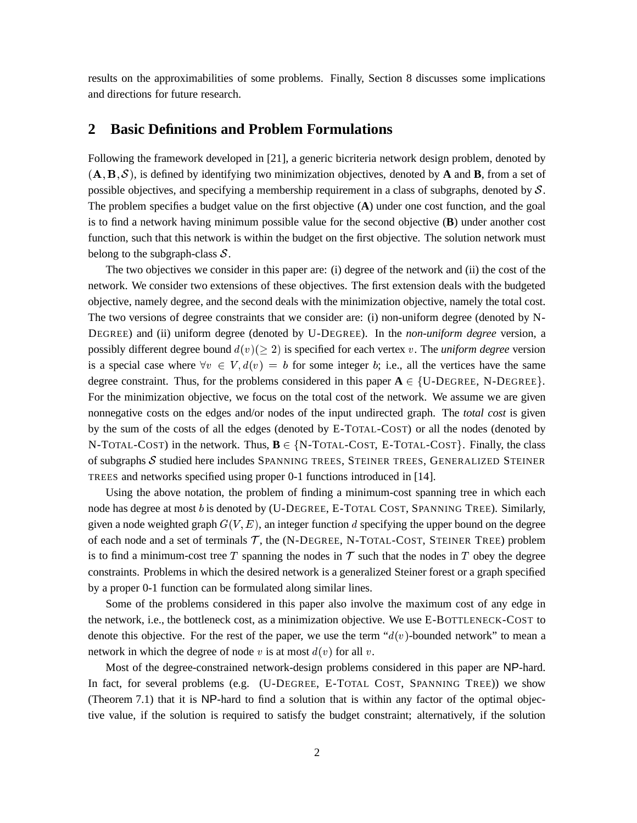results on the approximabilities of some problems. Finally, Section 8 discusses some implications and directions for future research.

### **2 Basic Definitions and Problem Formulations**

Following the framework developed in [21], a generic bicriteria network design problem, denoted by  $(A, B, S)$ , is defined by identifying two minimization objectives, denoted by **A** and **B**, from a set of possible objectives, and specifying a membership requirement in a class of subgraphs, denoted by <sup>S</sup>. The problem specifies a budget value on the first objective (**A**) under one cost function, and the goal is to find a network having minimum possible value for the second objective (**B**) under another cost function, such that this network is within the budget on the first objective. The solution network must belong to the subgraph-class  $S$ .

The two objectives we consider in this paper are: (i) degree of the network and (ii) the cost of the network. We consider two extensions of these objectives. The first extension deals with the budgeted objective, namely degree, and the second deals with the minimization objective, namely the total cost. The two versions of degree constraints that we consider are: (i) non-uniform degree (denoted by N-DEGREE) and (ii) uniform degree (denoted by U-DEGREE). In the *non-uniform degree* version, a possibly different degree bound  $d(v)$  ( $>$  2) is specified for each vertex v. The *uniform degree* version is a special case where  $\forall v \in V, d(v) = b$  for some integer b; i.e., all the vertices have the same degree constraint. Thus, for the problems considered in this paper  $A \in \{U\text{-DEGREE}, N\text{-DEGREE}\}.$ For the minimization objective, we focus on the total cost of the network. We assume we are given nonnegative costs on the edges and/or nodes of the input undirected graph. The *total cost* is given by the sum of the costs of all the edges (denoted by E-TOTAL-COST) or all the nodes (denoted by N-TOTAL-COST) in the network. Thus,  $\mathbf{B} \in \{N\text{-}T$ OTAL-COST, E-TOTAL-COST $\}$ . Finally, the class of subgraphs <sup>S</sup> studied here includes SPANNING TREES, STEINER TREES, GENERALIZED STEINER TREES and networks specified using proper 0-1 functions introduced in [14].

Using the above notation, the problem of finding a minimum-cost spanning tree in which each node has degree at most <sup>b</sup> is denoted by (U-DEGREE, E-TOTAL COST, SPANNING TREE). Similarly, given a node weighted graph  $G(V, E)$ , an integer function d specifying the upper bound on the degree of each node and a set of terminals  $\mathcal{T}$ , the (N-DEGREE, N-TOTAL-COST, STEINER TREE) problem is to find a minimum-cost tree T spanning the nodes in  $\mathcal T$  such that the nodes in  $T$  obey the degree constraints. Problems in which the desired network is a generalized Steiner forest or a graph specified by a proper 0-1 function can be formulated along similar lines.

Some of the problems considered in this paper also involve the maximum cost of any edge in the network, i.e., the bottleneck cost, as a minimization objective. We use E-BOTTLENECK-COST to denote this objective. For the rest of the paper, we use the term " $d(v)$ -bounded network" to mean a network in which the degree of node v is at most  $d(v)$  for all v.

Most of the degree-constrained network-design problems considered in this paper are NP-hard. In fact, for several problems (e.g. (U-DEGREE, E-TOTAL COST, SPANNING TREE)) we show (Theorem 7.1) that it is NP-hard to find a solution that is within any factor of the optimal objective value, if the solution is required to satisfy the budget constraint; alternatively, if the solution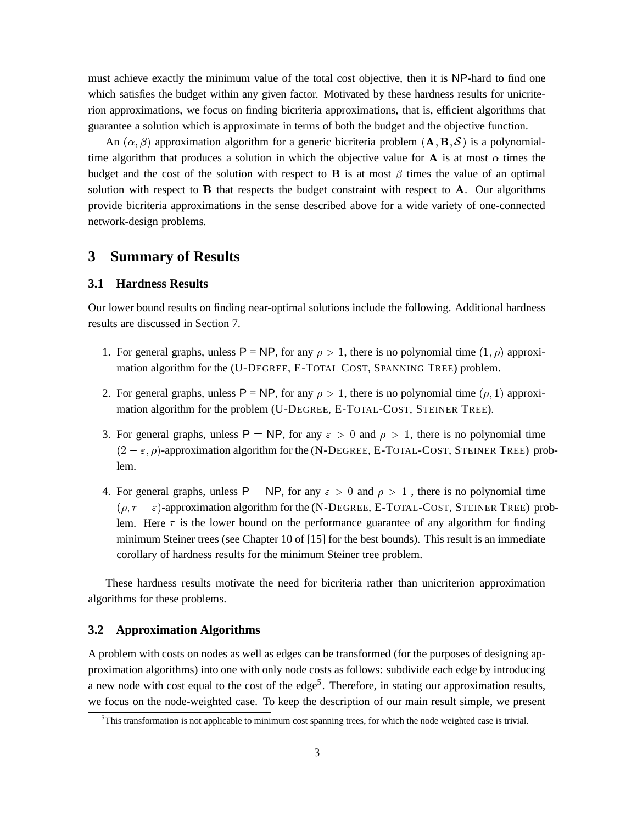must achieve exactly the minimum value of the total cost objective, then it is NP-hard to find one which satisfies the budget within any given factor. Motivated by these hardness results for unicriterion approximations, we focus on finding bicriteria approximations, that is, efficient algorithms that guarantee a solution which is approximate in terms of both the budget and the objective function.

An  $(\alpha, \beta)$  approximation algorithm for a generic bicriteria problem  $(\mathbf{A}, \mathbf{B}, \mathbf{S})$  is a polynomialtime algorithm that produces a solution in which the objective value for **A** is at most  $\alpha$  times the budget and the cost of the solution with respect to **B** is at most  $\beta$  times the value of an optimal solution with respect to  $\bf{B}$  that respects the budget constraint with respect to  $\bf{A}$ . Our algorithms provide bicriteria approximations in the sense described above for a wide variety of one-connected network-design problems.

# **3 Summary of Results**

### **3.1 Hardness Results**

Our lower bound results on finding near-optimal solutions include the following. Additional hardness results are discussed in Section 7.

- 1. For general graphs, unless P = NP, for any  $\rho > 1$ , there is no polynomial time  $(1, \rho)$  approximation algorithm for the (U-DEGREE, E-TOTAL COST, SPANNING TREE) problem.
- 2. For general graphs, unless  $P = NP$ , for any  $\rho > 1$ , there is no polynomial time  $(\rho, 1)$  approximation algorithm for the problem (U-DEGREE, E-TOTAL-COST, STEINER TREE).
- 3. For general graphs, unless  $P = NP$ , for any  $\varepsilon > 0$  and  $\rho > 1$ , there is no polynomial time  $(2 - \varepsilon, \rho)$ -approximation algorithm for the (N-DEGREE, E-TOTAL-COST, STEINER TREE) problem.
- 4. For general graphs, unless  $P = NP$ , for any  $\varepsilon > 0$  and  $\rho > 1$ , there is no polynomial time  $(\rho, \tau - \varepsilon)$ -approximation algorithm for the (N-DEGREE, E-TOTAL-COST, STEINER TREE) problem. Here  $\tau$  is the lower bound on the performance guarantee of any algorithm for finding minimum Steiner trees (see Chapter 10 of [15] for the best bounds). This result is an immediate corollary of hardness results for the minimum Steiner tree problem.

These hardness results motivate the need for bicriteria rather than unicriterion approximation algorithms for these problems.

### **3.2 Approximation Algorithms**

A problem with costs on nodes as well as edges can be transformed (for the purposes of designing approximation algorithms) into one with only node costs as follows: subdivide each edge by introducing a new node with cost equal to the cost of the edge<sup>5</sup>. Therefore, in stating our approximation results, we focus on the node-weighted case. To keep the description of our main result simple, we present

 $5$ This transformation is not applicable to minimum cost spanning trees, for which the node weighted case is trivial.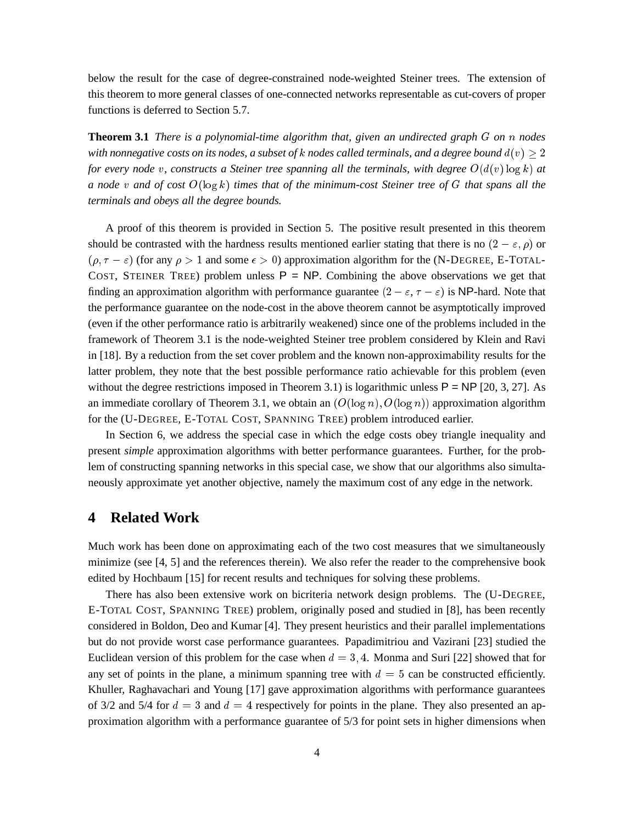below the result for the case of degree-constrained node-weighted Steiner trees. The extension of this theorem to more general classes of one-connected networks representable as cut-covers of proper functions is deferred to Section 5.7.

**Theorem 3.1** *There is a polynomial-time algorithm that, given an undirected graph* <sup>G</sup> *on* <sup>n</sup> *nodes with nonnegative costs on its nodes, a subset of k nodes called terminals, and a degree bound*  $d(v) \geq 2$ *for every node* v, constructs a Steiner tree spanning all the terminals, with degree  $O(d(v) \log k)$  at *a node* <sup>v</sup> *and of cost* O(log k) *times that of the minimum-cost Steiner tree of* <sup>G</sup> *that spans all the terminals and obeys all the degree bounds.*

A proof of this theorem is provided in Section 5. The positive result presented in this theorem should be contrasted with the hardness results mentioned earlier stating that there is no  $(2 - \varepsilon, \rho)$  or  $(\rho, \tau - \varepsilon)$  (for any  $\rho > 1$  and some  $\epsilon > 0$ ) approximation algorithm for the (N-DEGREE, E-TOTAL-COST, STEINER TREE) problem unless  $P = NP$ . Combining the above observations we get that finding an approximation algorithm with performance guarantee  $(2 - \varepsilon, \tau - \varepsilon)$  is NP-hard. Note that the performance guarantee on the node-cost in the above theorem cannot be asymptotically improved (even if the other performance ratio is arbitrarily weakened) since one of the problems included in the framework of Theorem 3.1 is the node-weighted Steiner tree problem considered by Klein and Ravi in [18]. By a reduction from the set cover problem and the known non-approximability results for the latter problem, they note that the best possible performance ratio achievable for this problem (even without the degree restrictions imposed in Theorem 3.1) is logarithmic unless  $P = NP$  [20, 3, 27]. As an immediate corollary of Theorem 3.1, we obtain an  $(O(\log n), O(\log n))$  approximation algorithm for the (U-DEGREE, E-TOTAL COST, SPANNING TREE) problem introduced earlier.

In Section 6, we address the special case in which the edge costs obey triangle inequality and present *simple* approximation algorithms with better performance guarantees. Further, for the problem of constructing spanning networks in this special case, we show that our algorithms also simultaneously approximate yet another objective, namely the maximum cost of any edge in the network.

### **4 Related Work**

Much work has been done on approximating each of the two cost measures that we simultaneously minimize (see [4, 5] and the references therein). We also refer the reader to the comprehensive book edited by Hochbaum [15] for recent results and techniques for solving these problems.

There has also been extensive work on bicriteria network design problems. The (U-DEGREE, E-TOTAL COST, SPANNING TREE) problem, originally posed and studied in [8], has been recently considered in Boldon, Deo and Kumar [4]. They present heuristics and their parallel implementations but do not provide worst case performance guarantees. Papadimitriou and Vazirani [23] studied the Euclidean version of this problem for the case when  $d = 3, 4$ . Monma and Suri [22] showed that for any set of points in the plane, a minimum spanning tree with  $d = 5$  can be constructed efficiently. Khuller, Raghavachari and Young [17] gave approximation algorithms with performance guarantees of 3/2 and 5/4 for  $d = 3$  and  $d = 4$  respectively for points in the plane. They also presented an approximation algorithm with a performance guarantee of 5/3 for point sets in higher dimensions when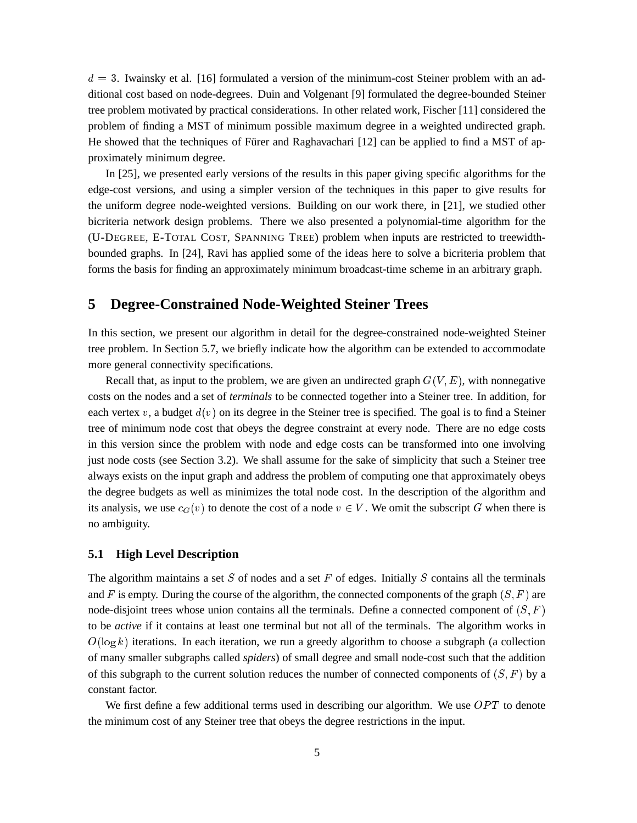$d = 3$ . Iwainsky et al. [16] formulated a version of the minimum-cost Steiner problem with an additional cost based on node-degrees. Duin and Volgenant [9] formulated the degree-bounded Steiner tree problem motivated by practical considerations. In other related work, Fischer [11] considered the problem of finding a MST of minimum possible maximum degree in a weighted undirected graph. He showed that the techniques of Fürer and Raghavachari  $[12]$  can be applied to find a MST of approximately minimum degree.

In [25], we presented early versions of the results in this paper giving specific algorithms for the edge-cost versions, and using a simpler version of the techniques in this paper to give results for the uniform degree node-weighted versions. Building on our work there, in [21], we studied other bicriteria network design problems. There we also presented a polynomial-time algorithm for the (U-DEGREE, E-TOTAL COST, SPANNING TREE) problem when inputs are restricted to treewidthbounded graphs. In [24], Ravi has applied some of the ideas here to solve a bicriteria problem that forms the basis for finding an approximately minimum broadcast-time scheme in an arbitrary graph.

# **5 Degree-Constrained Node-Weighted Steiner Trees**

In this section, we present our algorithm in detail for the degree-constrained node-weighted Steiner tree problem. In Section 5.7, we briefly indicate how the algorithm can be extended to accommodate more general connectivity specifications.

Recall that, as input to the problem, we are given an undirected graph  $G(V, E)$ , with nonnegative costs on the nodes and a set of *terminals* to be connected together into a Steiner tree. In addition, for each vertex v, a budget  $d(v)$  on its degree in the Steiner tree is specified. The goal is to find a Steiner tree of minimum node cost that obeys the degree constraint at every node. There are no edge costs in this version since the problem with node and edge costs can be transformed into one involving just node costs (see Section 3.2). We shall assume for the sake of simplicity that such a Steiner tree always exists on the input graph and address the problem of computing one that approximately obeys the degree budgets as well as minimizes the total node cost. In the description of the algorithm and its analysis, we use  $c_G(v)$  to denote the cost of a node  $v \in V$ . We omit the subscript G when there is no ambiguity.

### **5.1 High Level Description**

The algorithm maintains a set S of nodes and a set F of edges. Initially S contains all the terminals and F is empty. During the course of the algorithm, the connected components of the graph  $(S, F)$  are node-disjoint trees whose union contains all the terminals. Define a connected component of  $(S, F)$ to be *active* if it contains at least one terminal but not all of the terminals. The algorithm works in  $O(\log k)$  iterations. In each iteration, we run a greedy algorithm to choose a subgraph (a collection of many smaller subgraphs called *spiders*) of small degree and small node-cost such that the addition of this subgraph to the current solution reduces the number of connected components of  $(S, F)$  by a constant factor.

We first define a few additional terms used in describing our algorithm. We use  $OPT$  to denote the minimum cost of any Steiner tree that obeys the degree restrictions in the input.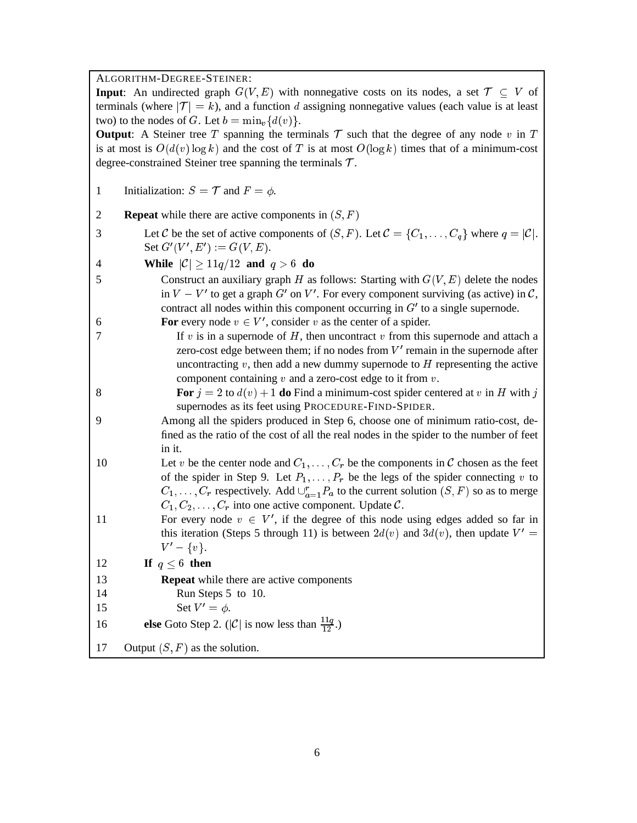ALGORITHM-DEGREE-STEINER:

| INCOUNTING DEOREE DIENTER.<br><b>Input:</b> An undirected graph $G(V, E)$ with nonnegative costs on its nodes, a set $\mathcal{T} \subseteq V$ of                                                       |
|---------------------------------------------------------------------------------------------------------------------------------------------------------------------------------------------------------|
| terminals (where $ \mathcal{T}  = k$ ), and a function d assigning nonnegative values (each value is at least                                                                                           |
| two) to the nodes of G. Let $b = \min_v \{d(v)\}\.$                                                                                                                                                     |
| <b>Output:</b> A Steiner tree T spanning the terminals T such that the degree of any node v in T                                                                                                        |
| is at most is $O(d(v) \log k)$ and the cost of T is at most $O(\log k)$ times that of a minimum-cost                                                                                                    |
| degree-constrained Steiner tree spanning the terminals $\mathcal{T}$ .                                                                                                                                  |
|                                                                                                                                                                                                         |
| Initialization: $S = \mathcal{T}$ and $F = \phi$ .<br>$\mathbf{1}$                                                                                                                                      |
| $\overline{c}$<br><b>Repeat</b> while there are active components in $(S, F)$                                                                                                                           |
| Let C be the set of active components of $(S, F)$ . Let $C = \{C_1, \ldots, C_q\}$ where $q =  C $ .<br>3                                                                                               |
| Set $G'(V', E') := G(V, E)$ .                                                                                                                                                                           |
| While $ \mathcal{C}  \ge 11q/12$ and $q > 6$ do<br>4                                                                                                                                                    |
| Construct an auxiliary graph $H$ as follows: Starting with $G(V, E)$ delete the nodes<br>5                                                                                                              |
| in $V - V'$ to get a graph $G'$ on $V'$ . For every component surviving (as active) in C,                                                                                                               |
| contract all nodes within this component occurring in $G'$ to a single supernode.                                                                                                                       |
| For every node $v \in V'$ , consider v as the center of a spider.<br>6                                                                                                                                  |
| $\tau$<br>If $v$ is in a supernode of $H$ , then uncontract $v$ from this supernode and attach a                                                                                                        |
| zero-cost edge between them; if no nodes from $V'$ remain in the supernode after                                                                                                                        |
| uncontracting $v$ , then add a new dummy supernode to $H$ representing the active                                                                                                                       |
| component containing $v$ and a zero-cost edge to it from $v$ .                                                                                                                                          |
| 8<br>For $j = 2$ to $d(v) + 1$ do Find a minimum-cost spider centered at v in H with j                                                                                                                  |
| supernodes as its feet using PROCEDURE-FIND-SPIDER.                                                                                                                                                     |
| 9<br>Among all the spiders produced in Step 6, choose one of minimum ratio-cost, de-                                                                                                                    |
| fined as the ratio of the cost of all the real nodes in the spider to the number of feet                                                                                                                |
| in it.                                                                                                                                                                                                  |
| Let v be the center node and $C_1, \ldots, C_r$ be the components in C chosen as the feet<br>10                                                                                                         |
| of the spider in Step 9. Let $P_1, \ldots, P_r$ be the legs of the spider connecting v to<br>$C_1, \ldots, C_r$ respectively. Add $\bigcup_{a=1}^r P_a$ to the current solution $(S, F)$ so as to merge |
| $C_1, C_2, \ldots, C_r$ into one active component. Update $\mathcal{C}$ .                                                                                                                               |
| For every node $v \in V'$ , if the degree of this node using edges added so far in<br>11                                                                                                                |
| this iteration (Steps 5 through 11) is between $2d(v)$ and $3d(v)$ , then update $V' =$                                                                                                                 |
| $V' - \{v\}.$                                                                                                                                                                                           |
| If $q \leq 6$ then<br>12                                                                                                                                                                                |
| 13<br>Repeat while there are active components                                                                                                                                                          |
| 14<br>Run Steps 5 to 10.                                                                                                                                                                                |
| Set $V' = \phi$ .<br>15                                                                                                                                                                                 |
| <b>else</b> Goto Step 2. ( $ C $ is now less than $\frac{11q}{12}$ .)<br>16                                                                                                                             |
|                                                                                                                                                                                                         |
| Output $(S, F)$ as the solution.<br>17                                                                                                                                                                  |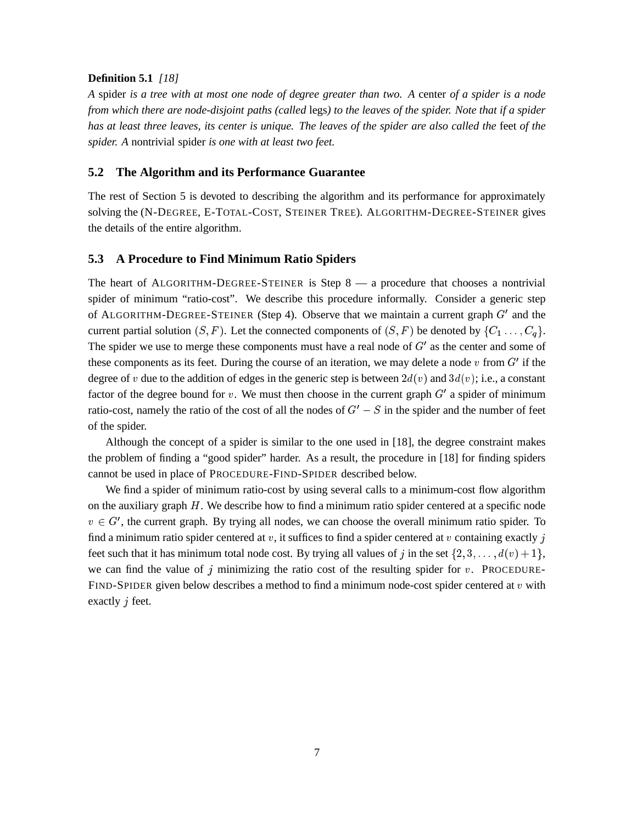#### **Definition 5.1** *[18]*

*A* spider *is a tree with at most one node of degree greater than two. A* center *of a spider is a node from which there are node-disjoint paths (called* legs*) to the leaves of the spider. Note that if a spider has at least three leaves, its center is unique. The leaves of the spider are also called the* feet *of the spider. A* nontrivial spider *is one with at least two feet.*

#### **5.2 The Algorithm and its Performance Guarantee**

The rest of Section 5 is devoted to describing the algorithm and its performance for approximately solving the (N-DEGREE, E-TOTAL-COST, STEINER TREE). ALGORITHM-DEGREE-STEINER gives the details of the entire algorithm.

### **5.3 A Procedure to Find Minimum Ratio Spiders**

The heart of ALGORITHM-DEGREE-STEINER is Step 8 — a procedure that chooses a nontrivial spider of minimum "ratio-cost". We describe this procedure informally. Consider a generic step of ALGORITHM-DEGREE-STEINER (Step 4). Observe that we maintain a current graph  $G'$  and the current partial solution  $(S, F)$ . Let the connected components of  $(S, F)$  be denoted by  $\{C_1 \ldots, C_q\}$ . The spider we use to merge these components must have a real node of  $G'$  as the center and some of these components as its feet. During the course of an iteration, we may delete a node v from  $G'$  if the degree of v due to the addition of edges in the generic step is between  $2d(v)$  and  $3d(v)$ ; i.e., a constant factor of the degree bound for v. We must then choose in the current graph  $G'$  a spider of minimum ratio-cost, namely the ratio of the cost of all the nodes of  $G' - S$  in the spider and the number of feet of the spider.

Although the concept of a spider is similar to the one used in [18], the degree constraint makes the problem of finding a "good spider" harder. As a result, the procedure in [18] for finding spiders cannot be used in place of PROCEDURE-FIND-SPIDER described below.

We find a spider of minimum ratio-cost by using several calls to a minimum-cost flow algorithm on the auxiliary graph  $H$ . We describe how to find a minimum ratio spider centered at a specific node  $v \in G'$ , the current graph. By trying all nodes, we can choose the overall minimum ratio spider. To find a minimum ratio spider centered at v, it suffices to find a spider centered at v containing exactly j feet such that it has minimum total node cost. By trying all values of j in the set  $\{2, 3, \ldots, d(v) + 1\}$ , we can find the value of j minimizing the ratio cost of the resulting spider for  $v$ . PROCEDURE-FIND-SPIDER given below describes a method to find a minimum node-cost spider centered at  $v$  with exactly *i* feet.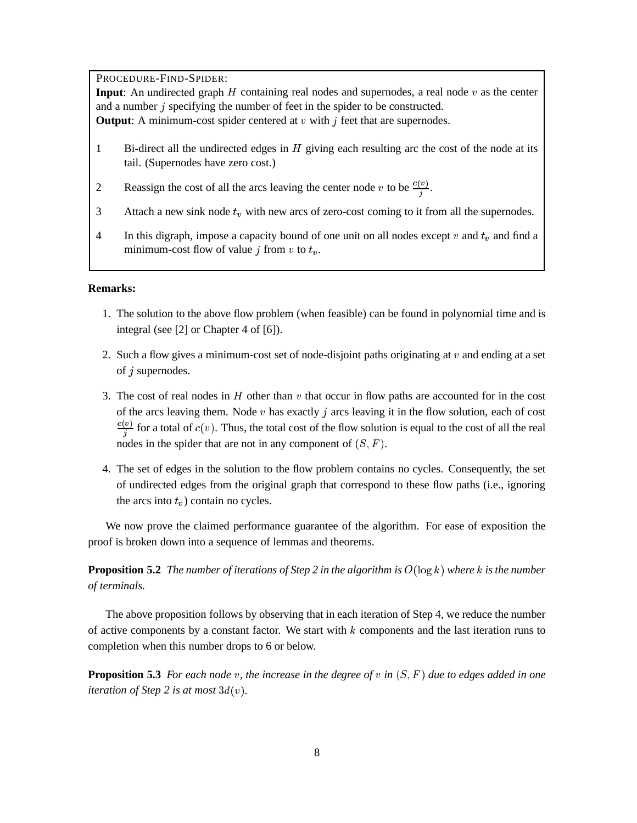PROCEDURE-FIND-SPIDER:

**Input**: An undirected graph  $H$  containing real nodes and supernodes, a real node  $v$  as the center and a number <sup>j</sup> specifying the number of feet in the spider to be constructed. **Output:** A minimum-cost spider centered at  $v$  with  $j$  feet that are supernodes.

- 1 Bi-direct all the undirected edges in  $H$  giving each resulting arc the cost of the node at its tail. (Supernodes have zero cost.)
- 2 Reassign the cost of all the arcs leaving the center node v to be  $\frac{c(v)}{i}$ .
- 3 Attach a new sink node  $t<sub>v</sub>$  with new arcs of zero-cost coming to it from all the supernodes.

<sup>j</sup>

4 In this digraph, impose a capacity bound of one unit on all nodes except  $v$  and  $t<sub>v</sub>$  and find a minimum-cost flow of value j from v to  $t_v$ .

#### **Remarks:**

- 1. The solution to the above flow problem (when feasible) can be found in polynomial time and is integral (see [2] or Chapter 4 of [6]).
- 2. Such a flow gives a minimum-cost set of node-disjoint paths originating at  $v$  and ending at a set of <sup>j</sup> supernodes.
- 3. The cost of real nodes in  $H$  other than  $v$  that occur in flow paths are accounted for in the cost of the arcs leaving them. Node  $v$  has exactly  $j$  arcs leaving it in the flow solution, each of cost  $\frac{c(v)}{i}$  for a total of  $c(v)$ . Thus, the total cost of the flow solution is equal to the cost of all the real <sup>j</sup> nodes in the spider that are not in any component of  $(S, F)$ .
- 4. The set of edges in the solution to the flow problem contains no cycles. Consequently, the set of undirected edges from the original graph that correspond to these flow paths (i.e., ignoring the arcs into  $t_v$ ) contain no cycles.

We now prove the claimed performance guarantee of the algorithm. For ease of exposition the proof is broken down into a sequence of lemmas and theorems.

**Proposition 5.2** *The number of iterations of Step 2 in the algorithm is* O(log k) *where* <sup>k</sup> *is the number of terminals.*

The above proposition follows by observing that in each iteration of Step 4, we reduce the number of active components by a constant factor. We start with  $k$  components and the last iteration runs to completion when this number drops to 6 or below.

**Proposition 5.3** *For each node* v, the increase in the degree of v in  $(S, F)$  due to edges added in one *iteration of Step 2 is at most*  $3d(v)$ *.*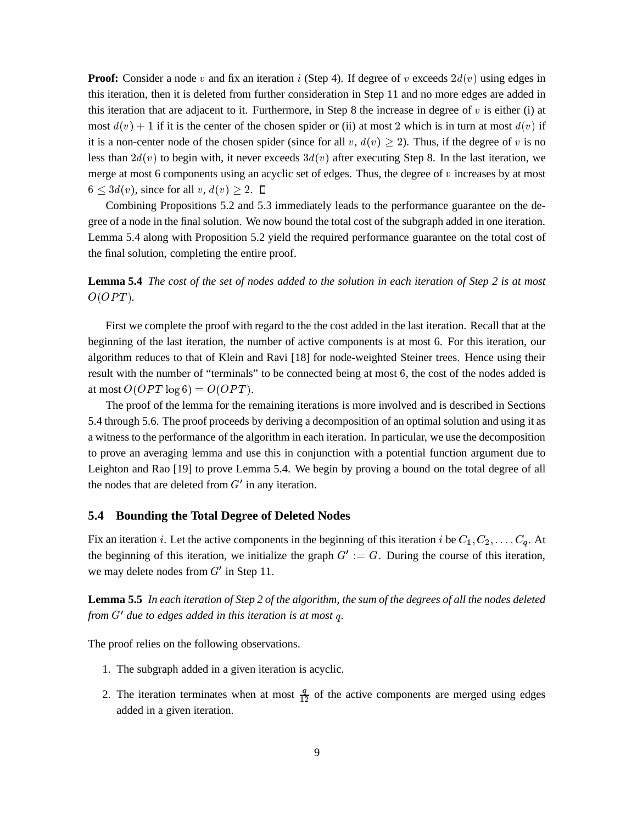**Proof:** Consider a node v and fix an iteration i (Step 4). If degree of v exceeds  $2d(v)$  using edges in this iteration, then it is deleted from further consideration in Step 11 and no more edges are added in this iteration that are adjacent to it. Furthermore, in Step 8 the increase in degree of  $v$  is either (i) at most  $d(v) + 1$  if it is the center of the chosen spider or (ii) at most 2 which is in turn at most  $d(v)$  if it is a non-center node of the chosen spider (since for all v,  $d(v) \ge 2$ ). Thus, if the degree of v is no less than  $2d(v)$  to begin with, it never exceeds  $3d(v)$  after executing Step 8. In the last iteration, we merge at most 6 components using an acyclic set of edges. Thus, the degree of v increases by at most  $6 \leq 3d(v)$ , since for all  $v, d(v) \geq 2$ .

Combining Propositions 5.2 and 5.3 immediately leads to the performance guarantee on the degree of a node in the final solution. We now bound the total cost of the subgraph added in one iteration. Lemma 5.4 along with Proposition 5.2 yield the required performance guarantee on the total cost of the final solution, completing the entire proof.

**Lemma 5.4** *The cost of the set of nodes added to the solution in each iteration of Step 2 is at most*  $O(OPT)$ *.* 

First we complete the proof with regard to the the cost added in the last iteration. Recall that at the beginning of the last iteration, the number of active components is at most 6. For this iteration, our algorithm reduces to that of Klein and Ravi [18] for node-weighted Steiner trees. Hence using their result with the number of "terminals" to be connected being at most <sup>6</sup>, the cost of the nodes added is at most  $O(OPT \log 6) = O(OPT)$ .

The proof of the lemma for the remaining iterations is more involved and is described in Sections 5.4 through 5.6. The proof proceeds by deriving a decomposition of an optimal solution and using it as a witness to the performance of the algorithm in each iteration. In particular, we use the decomposition to prove an averaging lemma and use this in conjunction with a potential function argument due to Leighton and Rao [19] to prove Lemma 5.4. We begin by proving a bound on the total degree of all the nodes that are deleted from  $G'$  in any iteration.

#### **5.4 Bounding the Total Degree of Deleted Nodes**

Fix an iteration i. Let the active components in the beginning of this iteration i be  $C_1, C_2, \ldots, C_q$ . At the beginning of this iteration, we initialize the graph  $G' := G$ . During the course of this iteration, we may delete nodes from  $G'$  in Step 11.

**Lemma 5.5** *In each iteration of Step 2 of the algorithm, the sum of the degrees of all the nodes deleted from G' due to edges added in this iteration is at most q.* 

The proof relies on the following observations.

- 1. The subgraph added in a given iteration is acyclic.
- 2. The iteration terminates when at most  $\frac{q}{12}$  of the active components are merged using edges added in a given iteration.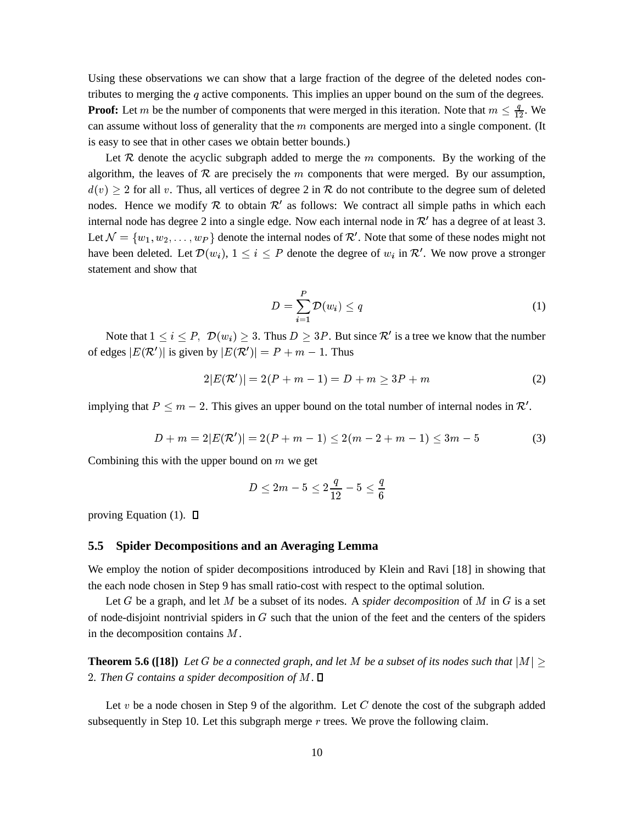Using these observations we can show that a large fraction of the degree of the deleted nodes contributes to merging the  $q$  active components. This implies an upper bound on the sum of the degrees. **Proof:** Let m be the number of components that were merged in this iteration. Note that  $m \leq \frac{q}{12}$ . We can assume without loss of generality that the  $m$  components are merged into a single component. (It is easy to see that in other cases we obtain better bounds.)

Let  $R$  denote the acyclic subgraph added to merge the m components. By the working of the algorithm, the leaves of  $R$  are precisely the m components that were merged. By our assumption,  $d(v) \geq 2$  for all v. Thus, all vertices of degree 2 in R do not contribute to the degree sum of deleted nodes. Hence we modify R to obtain  $\mathcal{R}'$  as follows: We contract all simple paths in which each internal node has degree 2 into a single edge. Now each internal node in  $\mathcal{R}'$  has a degree of at least 3. Let  $\mathcal{N} = \{w_1, w_2, \dots, w_P\}$  denote the internal nodes of  $\mathcal{R}'$ . Note that some of these nodes might not have been deleted. Let  $\mathcal{D}(w_i)$ ,  $1 \leq i \leq P$  denote the degree of  $w_i$  in  $\mathcal{R}'$ . We now prove a stronger statement and show that

$$
D = \sum_{i=1}^{P} \mathcal{D}(w_i) \le q \tag{1}
$$

Note that  $1 \le i \le P$ ,  $\mathcal{D}(w_i) \ge 3$ . Thus  $D \ge 3P$ . But since  $\mathcal{R}'$  is a tree we know that the number of edges  $|E(\mathcal{R}')|$  is given by  $|E(\mathcal{R}')| = P + m - 1$ . Thus

$$
2|E(\mathcal{R}')| = 2(P + m - 1) = D + m \ge 3P + m \tag{2}
$$

implying that  $P \leq m - 2$ . This gives an upper bound on the total number of internal nodes in  $\mathcal{R}'$ .

$$
D + m = 2|E(\mathcal{R}')| = 2(P + m - 1) \le 2(m - 2 + m - 1) \le 3m - 5
$$
 (3)

Combining this with the upper bound on  $m$  we get

$$
D\leq 2m-5\leq 2\frac{q}{12}-5\leq \frac{q}{6}
$$

proving Equation (1).  $\square$ 

#### **5.5 Spider Decompositions and an Averaging Lemma**

We employ the notion of spider decompositions introduced by Klein and Ravi [18] in showing that the each node chosen in Step 9 has small ratio-cost with respect to the optimal solution.

Let <sup>G</sup> be a graph, and let <sup>M</sup> be a subset of its nodes. A *spider decomposition* of <sup>M</sup> in <sup>G</sup> is a set of node-disjoint nontrivial spiders in  $G$  such that the union of the feet and the centers of the spiders in the decomposition contains <sup>M</sup>.

**Theorem 5.6 ([18])** Let G be a connected graph, and let M be a subset of its nodes such that  $|M| \ge$ <sup>2</sup>*. Then* <sup>G</sup> *contains a spider decomposition of* <sup>M</sup>*.*

Let  $v$  be a node chosen in Step 9 of the algorithm. Let  $C$  denote the cost of the subgraph added subsequently in Step 10. Let this subgraph merge <sup>r</sup> trees. We prove the following claim.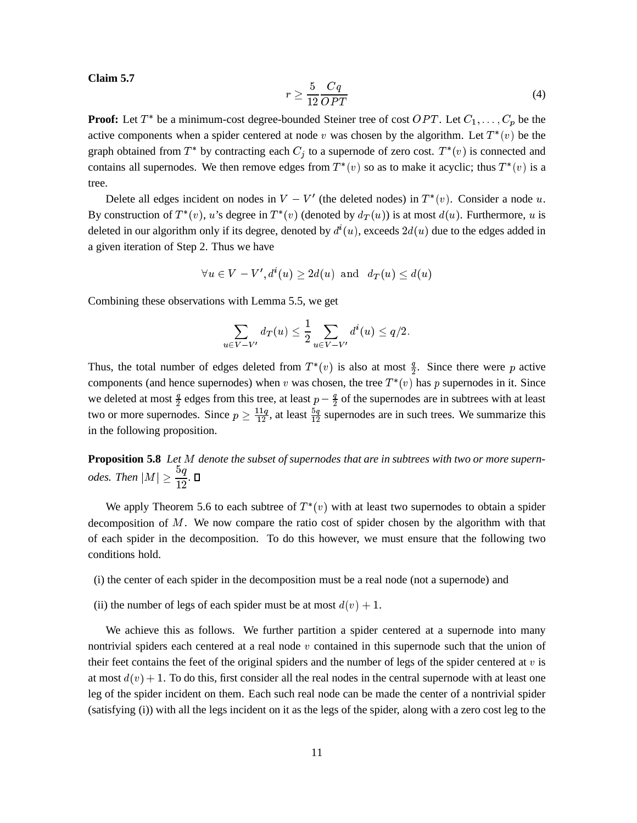#### **Claim 5.7**

$$
r \ge \frac{5}{12} \frac{Cq}{OPT} \tag{4}
$$

**Proof:** Let  $T^*$  be a minimum-cost degree-bounded Steiner tree of cost  $OPT$ . Let  $C_1, \ldots, C_p$  be the active components when a spider centered at node v was chosen by the algorithm. Let  $T^*(v)$  be the graph obtained from  $T^*$  by contracting each  $C_i$  to a supernode of zero cost.  $T^*(v)$  is connected and contains all supernodes. We then remove edges from  $T^*(v)$  so as to make it acyclic; thus  $T^*(v)$  is a tree.

Delete all edges incident on nodes in  $V - V'$  (the deleted nodes) in  $T^*(v)$ . Consider a node u. By construction of  $T^*(v)$ , u's degree in  $T^*(v)$  (denoted by  $d_T(u)$ ) is at most  $d(u)$ . Furthermore, u is deleted in our algorithm only if its degree, denoted by  $d^{i}(u)$ , exceeds  $2d(u)$  due to the edges added in a given iteration of Step 2. Thus we have

$$
\forall u \in V - V', d^{\imath}(u) \ge 2d(u) \text{ and } d_T(u) \le d(u)
$$

Combining these observations with Lemma 5.5, we get

$$
\sum_{u \in V - V'} d_T(u) \le \frac{1}{2} \sum_{u \in V - V'} d^i(u) \le q/2.
$$

Thus, the total number of edges deleted from  $T^*(v)$  is also at most  $\frac{q}{2}$ . Since there were p active  $\overline{\phantom{a}}$ components (and hence supernodes) when v was chosen, the tree  $T^*(v)$  has p supernodes in it. Since we deleted at most  $\frac{q}{2}$  edges from this tree, at least  $p-\frac{q}{2}$  of the supernodes are in subtrees with at least two or more supernodes. Since  $p \ge \frac{11q}{12}$ , at least  $\frac{5q}{12}$  supernodes are in such trees. We summarize this in the following proposition.

**Proposition 5.8** *Let* <sup>M</sup> *denote the subset of supernodes that are in subtrees with two or more supernodes.* Then  $|M| \geq \frac{dq}{10}$  $\frac{3q}{12}$ .

We apply Theorem 5.6 to each subtree of  $T^*(v)$  with at least two supernodes to obtain a spider decomposition of  $M$ . We now compare the ratio cost of spider chosen by the algorithm with that of each spider in the decomposition. To do this however, we must ensure that the following two conditions hold.

- (i) the center of each spider in the decomposition must be a real node (not a supernode) and
- (ii) the number of legs of each spider must be at most  $d(v) + 1$ .

We achieve this as follows. We further partition a spider centered at a supernode into many nontrivial spiders each centered at a real node <sup>v</sup> contained in this supernode such that the union of their feet contains the feet of the original spiders and the number of legs of the spider centered at  $v$  is at most  $d(v) + 1$ . To do this, first consider all the real nodes in the central supernode with at least one leg of the spider incident on them. Each such real node can be made the center of a nontrivial spider (satisfying (i)) with all the legs incident on it as the legs of the spider, along with a zero cost leg to the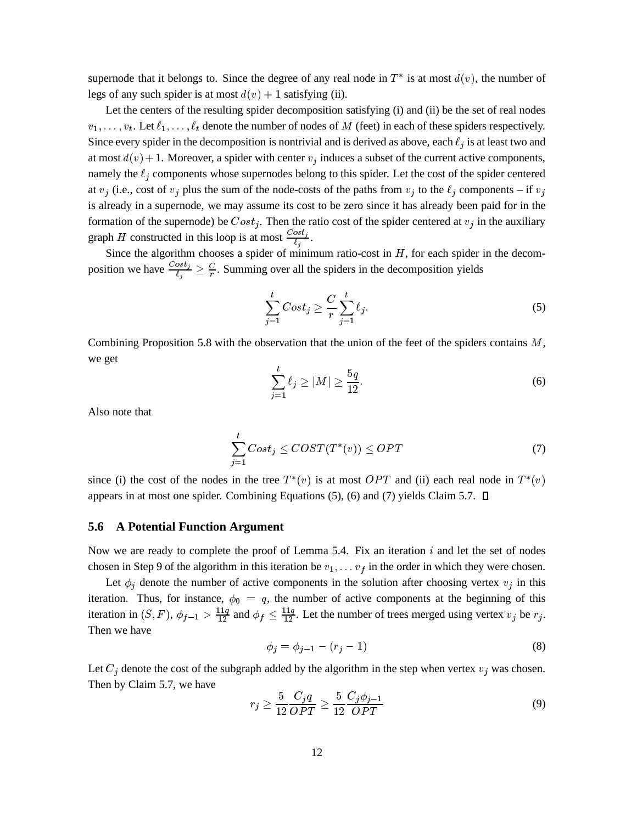supernode that it belongs to. Since the degree of any real node in  $T^*$  is at most  $d(v)$ , the number of legs of any such spider is at most  $d(v) + 1$  satisfying (ii).

Let the centers of the resulting spider decomposition satisfying (i) and (ii) be the set of real nodes  $v_1, \ldots, v_t$ . Let  $\ell_1, \ldots, \ell_t$  denote the number of nodes of M (feet) in each of these spiders respectively. Since every spider in the decomposition is nontrivial and is derived as above, each  $\ell_j$  is at least two and at most  $d(v) + 1$ . Moreover, a spider with center  $v_i$  induces a subset of the current active components, namely the  $\ell_j$  components whose supernodes belong to this spider. Let the cost of the spider centered at  $v_j$  (i.e., cost of  $v_j$  plus the sum of the node-costs of the paths from  $v_j$  to the  $\ell_j$  components – if  $v_j$ is already in a supernode, we may assume its cost to be zero since it has already been paid for in the formation of the supernode) be  $Cost_j$ . Then the ratio cost of the spider centered at  $v_j$  in the auxiliary graph H constructed in this loop is at most  $\frac{Cost_j}{\ell_i}$ .

Since the algorithm chooses a spider of minimum ratio-cost in  $H$ , for each spider in the decomposition we have  $\frac{\cos t_j}{\ell_j} \geq \frac{C}{r}$ . Summing over all the spiders in the decomposition yields

$$
\sum_{j=1}^{t} Cost_j \ge \frac{C}{r} \sum_{j=1}^{t} \ell_j.
$$
\n(5)

Combining Proposition 5.8 with the observation that the union of the feet of the spiders contains  $M$ , we get

$$
\sum_{j=1}^{t} \ell_j \ge |M| \ge \frac{5q}{12}.\tag{6}
$$

Also note that

$$
\sum_{j=1}^{t} Cost_j \le COST(T^*(v)) \le OPT \tag{7}
$$

since (i) the cost of the nodes in the tree  $T^*(v)$  is at most  $OPT$  and (ii) each real node in  $T^*(v)$ appears in at most one spider. Combining Equations (5), (6) and (7) yields Claim 5.7.  $\Box$ 

#### **5.6 A Potential Function Argument**

Now we are ready to complete the proof of Lemma 5.4. Fix an iteration  $i$  and let the set of nodes chosen in Step 9 of the algorithm in this iteration be  $v_1, \ldots, v_f$  in the order in which they were chosen.

Let  $\phi_i$  denote the number of active components in the solution after choosing vertex  $v_i$  in this iteration. Thus, for instance,  $\phi_0 = q$ , the number of active components at the beginning of this iteration in  $(S, F)$ ,  $\phi_{f-1} > \frac{11q}{12}$  and  $\phi_f \le \frac{11q}{12}$ . Let the number of trees merged using vertex  $v_j$  be  $r_j$ . Then we have

$$
\phi_j = \phi_{j-1} - (r_j - 1) \tag{8}
$$

Let  $C_i$  denote the cost of the subgraph added by the algorithm in the step when vertex  $v_i$  was chosen. Then by Claim 5.7, we have

$$
r_j \ge \frac{5}{12} \frac{C_j q}{OPT} \ge \frac{5}{12} \frac{C_j \phi_{j-1}}{OPT} \tag{9}
$$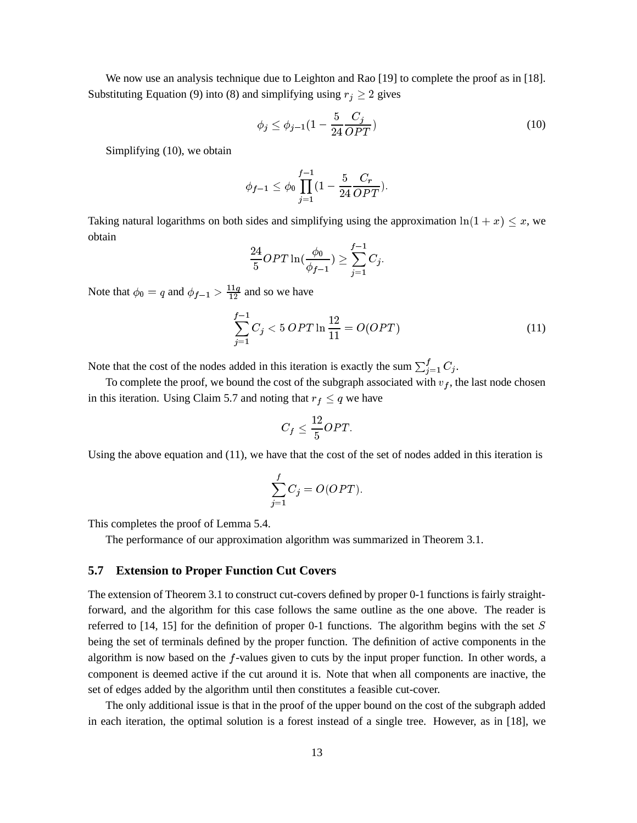We now use an analysis technique due to Leighton and Rao [19] to complete the proof as in [18]. Substituting Equation (9) into (8) and simplifying using  $r_j \geq 2$  gives

$$
\phi_j \le \phi_{j-1} \left( 1 - \frac{5}{24} \frac{C_j}{OPT} \right) \tag{10}
$$

Simplifying (10), we obtain

$$
\phi_{f-1} \le \phi_0 \prod_{j=1}^{f-1} (1 - \frac{5}{24} \frac{C_r}{OPT}).
$$

Taking natural logarithms on both sides and simplifying using the approximation  $\ln(1 + x) \leq x$ , we obtain

$$
\frac{24}{5}OPT \ln(\frac{\phi_0}{\phi_{f-1}}) \ge \sum_{j=1}^{f-1} C_j.
$$

Note that  $\phi_0 = q$  and  $\phi_{f-1} > \frac{11q}{12}$  and so we have

$$
\sum_{j=1}^{f-1} C_j < 5 \, OPT \ln \frac{12}{11} = O(OPT) \tag{11}
$$

Note that the cost of the nodes added in this iteration is exactly the sum  $\sum_{i=1}^{J} C_i$ .

To complete the proof, we bound the cost of the subgraph associated with  $v_f$ , the last node chosen in this iteration. Using Claim 5.7 and noting that  $r_f \leq q$  we have

$$
C_f \leq \frac{12}{5} OPT.
$$

Using the above equation and (11), we have that the cost of the set of nodes added in this iteration is

$$
\sum_{j=1}^{f} C_j = O(OPT).
$$

This completes the proof of Lemma 5.4.

The performance of our approximation algorithm was summarized in Theorem 3.1.

#### **5.7 Extension to Proper Function Cut Covers**

The extension of Theorem 3.1 to construct cut-covers defined by proper 0-1 functions is fairly straightforward, and the algorithm for this case follows the same outline as the one above. The reader is referred to [14, 15] for the definition of proper 0-1 functions. The algorithm begins with the set  $S$ being the set of terminals defined by the proper function. The definition of active components in the algorithm is now based on the  $f$ -values given to cuts by the input proper function. In other words, a component is deemed active if the cut around it is. Note that when all components are inactive, the set of edges added by the algorithm until then constitutes a feasible cut-cover.

The only additional issue is that in the proof of the upper bound on the cost of the subgraph added in each iteration, the optimal solution is a forest instead of a single tree. However, as in [18], we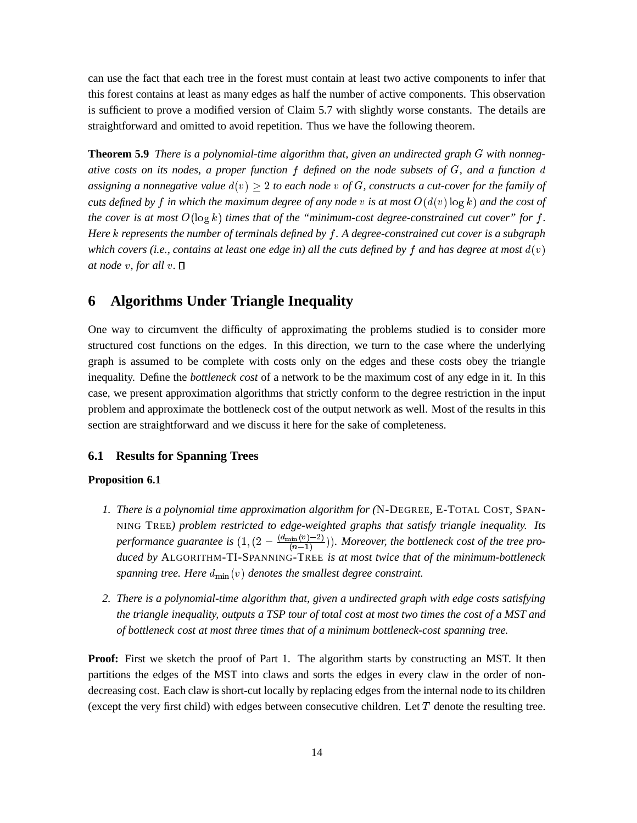can use the fact that each tree in the forest must contain at least two active components to infer that this forest contains at least as many edges as half the number of active components. This observation is sufficient to prove a modified version of Claim 5.7 with slightly worse constants. The details are straightforward and omitted to avoid repetition. Thus we have the following theorem.

**Theorem 5.9** *There is a polynomial-time algorithm that, given an undirected graph* <sup>G</sup> *with nonnegative costs on its nodes, a proper function* <sup>f</sup> *defined on the node subsets of* <sup>G</sup>*, and a function* <sup>d</sup> *assigning a nonnegative value* d(v) <sup>2</sup> *to each node* <sup>v</sup> *of* <sup>G</sup>*, constructs a cut-cover for the family of cuts defined by* f *in which the maximum degree of any node* v *is at most*  $O(d(v) \log k)$  *and the cost of the cover is at most*  $O(\log k)$  *times that of the "minimum-cost degree-constrained cut cover" for f. Here k represents the number of terminals defined by f. A degree-constrained cut cover is a subgraph which covers (i.e., contains at least one edge in) all the cuts defined by* f *and has degree at most*  $d(v)$ *at node v, for all v.*  $\square$ 

# **6 Algorithms Under Triangle Inequality**

One way to circumvent the difficulty of approximating the problems studied is to consider more structured cost functions on the edges. In this direction, we turn to the case where the underlying graph is assumed to be complete with costs only on the edges and these costs obey the triangle inequality. Define the *bottleneck cost* of a network to be the maximum cost of any edge in it. In this case, we present approximation algorithms that strictly conform to the degree restriction in the input problem and approximate the bottleneck cost of the output network as well. Most of the results in this section are straightforward and we discuss it here for the sake of completeness.

#### **6.1 Results for Spanning Trees**

#### **Proposition 6.1**

- *1. There is a polynomial time approximation algorithm for (*N-DEGREE*,* E-TOTAL COST*,* SPAN-NING TREE*) problem restricted to edge-weighted graphs that satisfy triangle inequality. Its* performance guarantee is  $(1, (2 - \frac{(a_{\min}(v)-2)}{(n-1)}))$ *. Moreover, the bottleneck cost of the tree produced by* ALGORITHM-TI-SPANNING-TREE *is at most twice that of the minimum-bottleneck* spanning tree. Here  $d_{\min}(v)$  denotes the smallest degree constraint.
- *2. There is a polynomial-time algorithm that, given a undirected graph with edge costs satisfying the triangle inequality, outputs a TSP tour of total cost at most two times the cost of a MST and of bottleneck cost at most three times that of a minimum bottleneck-cost spanning tree.*

**Proof:** First we sketch the proof of Part 1. The algorithm starts by constructing an MST. It then partitions the edges of the MST into claws and sorts the edges in every claw in the order of nondecreasing cost. Each claw is short-cut locally by replacing edges from the internal node to its children (except the very first child) with edges between consecutive children. Let  $T$  denote the resulting tree.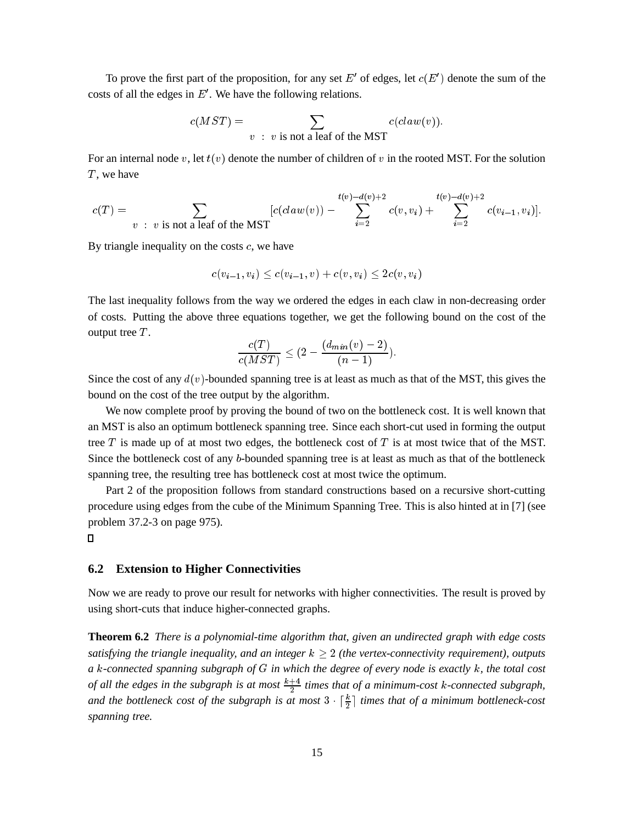To prove the first part of the proposition, for any set  $E'$  of edges, let  $c(E')$  denote the sum of the costs of all the edges in  $E'$ . We have the following relations.

$$
c(MST) = \sum_{v \text{ : } v \text{ is not a leaf of the MST}} c(claw(v)).
$$

For an internal node v, let  $t(v)$  denote the number of children of v in the rooted MST. For the solution  $T$ , we have

$$
c(T) = \sum_{v \; : \; v \; \text{is not a leaf of the MST}} [c(claw(v)) - \sum_{i=2}^{t(v)-d(v)+2} c(v, v_i) + \sum_{i=2}^{t(v)-d(v)+2} c(v_{i-1}, v_i)].
$$

By triangle inequality on the costs  $c$ , we have

$$
c(v_{i-1}, v_i) \le c(v_{i-1}, v) + c(v, v_i) \le 2c(v, v_i)
$$

The last inequality follows from the way we ordered the edges in each claw in non-decreasing order of costs. Putting the above three equations together, we get the following bound on the cost of the output tree  $T$ .

$$
\frac{c(T)}{c(MST)} \leq (2 - \frac{(d_{min}(v) - 2)}{(n-1)}).
$$

Since the cost of any  $d(v)$ -bounded spanning tree is at least as much as that of the MST, this gives the bound on the cost of the tree output by the algorithm.

We now complete proof by proving the bound of two on the bottleneck cost. It is well known that an MST is also an optimum bottleneck spanning tree. Since each short-cut used in forming the output tree  $T$  is made up of at most two edges, the bottleneck cost of  $T$  is at most twice that of the MST. Since the bottleneck cost of any <sup>b</sup>-bounded spanning tree is at least as much as that of the bottleneck spanning tree, the resulting tree has bottleneck cost at most twice the optimum.

Part 2 of the proposition follows from standard constructions based on a recursive short-cutting procedure using edges from the cube of the Minimum Spanning Tree. This is also hinted at in [7] (see problem 37.2-3 on page 975).

# $\Box$

### **6.2 Extension to Higher Connectivities**

Now we are ready to prove our result for networks with higher connectivities. The result is proved by using short-cuts that induce higher-connected graphs.

**Theorem 6.2** *There is a polynomial-time algorithm that, given an undirected graph with edge costs satisfying the triangle inequality, and an integer*  $k > 2$  *(the vertex-connectivity requirement), outputs a* <sup>k</sup>*-connected spanning subgraph of* <sup>G</sup> *in which the degree of every node is exactly* <sup>k</sup>*, the total cost of all the edges in the subgraph is at most*  $\frac{k+4}{2}$  *times that of a minimum-cost k-connected subgraph*, and the bottleneck cost of the subgraph is at most  $3 \cdot \lceil \frac{k}{2} \rceil$  times that of a minimum bottleneck-cost *spanning tree.*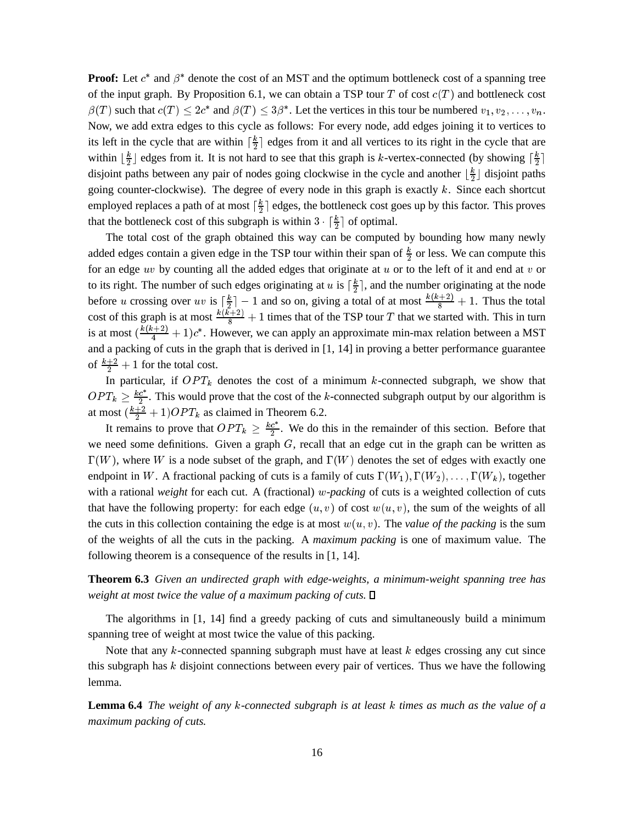**Proof:** Let  $c^*$  and  $\beta^*$  denote the cost of an MST and the optimum bottleneck cost of a spanning tree of the input graph. By Proposition 6.1, we can obtain a TSP tour T of cost  $c(T)$  and bottleneck cost  $\beta(T)$  such that  $c(T) \leq 2c^*$  and  $\beta(T) \leq 3\beta^*$ . Let the vertices in this tour be numbered  $v_1, v_2, \ldots, v_n$ . Now, we add extra edges to this cycle as follows: For every node, add edges joining it to vertices to its left in the cycle that are within  $\lceil \frac{k}{2} \rceil$  edges from it and all vertices to its right in the cycle that are within  $\lfloor \frac{k}{2} \rfloor$  edges from it. It is not hard to see that this graph is k-vertex-connected (by showing  $\lceil \frac{k}{2} \rceil$ ) disjoint paths between any pair of nodes going clockwise in the cycle and another  $\lfloor \frac{k}{2} \rfloor$  disjoint paths  $$ going counter-clockwise). The degree of every node in this graph is exactly  $k$ . Since each shortcut employed replaces a path of at most  $\lceil \frac{k}{2} \rceil$  edges, the bottleneck cost goes up by this factor. This proves that the bottleneck cost of this subgraph is within  $3 \cdot \lceil \frac{k}{2} \rceil$  of optimal.

The total cost of the graph obtained this way can be computed by bounding how many newly added edges contain a given edge in the TSP tour within their span of  $\frac{k}{2}$  or less. We can compute this for an edge  $uv$  by counting all the added edges that originate at  $u$  or to the left of it and end at  $v$  or to its right. The number of such edges originating at u is  $\lceil \frac{k}{2} \rceil$ , and the number originating at the node before u crossing over uv is  $\lceil \frac{k}{2} \rceil - 1$  and so on, giving a to  $\frac{k}{2}$  – 1 and so on, giving a total of at most  $\frac{k(k+2)}{8}$  + 1. Thus the total cost of this graph is at most  $\frac{k(k+2)}{8} + 1$  times that of the TSP tour T that we started with. This in turn is at most  $\left(\frac{\kappa(\kappa+2)}{4}+1\right)c^*$ . However, we can apply an approximate min-max relation between a MST and a packing of cuts in the graph that is derived in [1, 14] in proving a better performance guarantee of  $\frac{k+2}{2}+1$  for the total cost.

In particular, if  $OPT_k$  denotes the cost of a minimum k-connected subgraph, we show that  $OPT_k \geq \frac{kc^2}{2}$ . This would prove that the cost of the k-connected subgraph output by our algorithm is at most  $\left(\frac{k+2}{2}\right)$  $\frac{+2}{2} + 1$ )  $OPT_k$  as claimed in Theorem 6.2.

 $\overline{\phantom{a}}$ 

It remains to prove that  $OPT_k \geq \frac{k\epsilon^*}{2}$ . We do this in the remainder of this section. Before that we need some definitions. Given a graph <sup>G</sup>, recall that an edge cut in the graph can be written as  $\Gamma(W)$ , where W is a node subset of the graph, and  $\Gamma(W)$  denotes the set of edges with exactly one endpoint in W. A fractional packing of cuts is a family of cuts  $\Gamma(W_1), \Gamma(W_2), \ldots, \Gamma(W_k)$ , together with a rational *weight* for each cut. A (fractional) <sup>w</sup>*-packing* of cuts is a weighted collection of cuts that have the following property: for each edge  $(u, v)$  of cost  $w(u, v)$ , the sum of the weights of all the cuts in this collection containing the edge is at most  $w(u, v)$ . The *value of the packing* is the sum of the weights of all the cuts in the packing. A *maximum packing* is one of maximum value. The following theorem is a consequence of the results in [1, 14].

**Theorem 6.3** *Given an undirected graph with edge-weights, a minimum-weight spanning tree has weight at most twice the value of a maximum packing of cuts.*

The algorithms in [1, 14] find a greedy packing of cuts and simultaneously build a minimum spanning tree of weight at most twice the value of this packing.

Note that any  $k$ -connected spanning subgraph must have at least  $k$  edges crossing any cut since this subgraph has <sup>k</sup> disjoint connections between every pair of vertices. Thus we have the following lemma.

**Lemma 6.4** *The weight of any* <sup>k</sup>*-connected subgraph is at least* <sup>k</sup> *times as much as the value of a maximum packing of cuts.*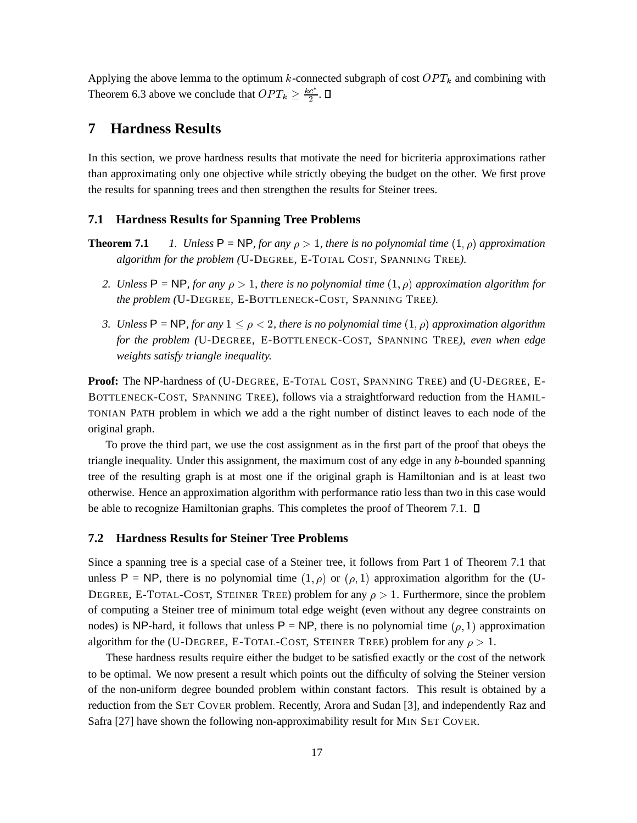Applying the above lemma to the optimum k-connected subgraph of cost  $OPT_k$  and combining with Theorem 6.3 above we conclude that  $OPT_k \geq \frac{kc^*}{2}$ .  $\overline{\phantom{a}}$ 

# **7 Hardness Results**

In this section, we prove hardness results that motivate the need for bicriteria approximations rather than approximating only one objective while strictly obeying the budget on the other. We first prove the results for spanning trees and then strengthen the results for Steiner trees.

#### **7.1 Hardness Results for Spanning Tree Problems**

- **Theorem 7.1** *1. Unless*  $P = NP$ , for any  $\rho > 1$ , there is no polynomial time  $(1, \rho)$  approximation *algorithm for the problem (*U-DEGREE*,* E-TOTAL COST*,* SPANNING TREE*).*
	- *2. Unless*  $P = NP$ *, for any*  $\rho > 1$ *, there is no polynomial time*  $(1, \rho)$  *approximation algorithm for the problem (*U-DEGREE, E-BOTTLENECK-COST, SPANNING TREE*).*
	- *3. Unless*  $P = NP$ , for any  $1 \leq \rho \leq 2$ , there is no polynomial time  $(1, \rho)$  approximation algorithm *for the problem (*U-DEGREE, E-BOTTLENECK-COST, SPANNING TREE*), even when edge weights satisfy triangle inequality.*

**Proof:** The NP-hardness of (U-DEGREE, E-TOTAL COST, SPANNING TREE) and (U-DEGREE, E-BOTTLENECK-COST, SPANNING TREE), follows via a straightforward reduction from the HAMIL-TONIAN PATH problem in which we add a the right number of distinct leaves to each node of the original graph.

To prove the third part, we use the cost assignment as in the first part of the proof that obeys the triangle inequality. Under this assignment, the maximum cost of any edge in any <sup>b</sup>-bounded spanning tree of the resulting graph is at most one if the original graph is Hamiltonian and is at least two otherwise. Hence an approximation algorithm with performance ratio less than two in this case would be able to recognize Hamiltonian graphs. This completes the proof of Theorem 7.1.  $\Box$ 

### **7.2 Hardness Results for Steiner Tree Problems**

Since a spanning tree is a special case of a Steiner tree, it follows from Part 1 of Theorem 7.1 that unless P = NP, there is no polynomial time  $(1, \rho)$  or  $(\rho, 1)$  approximation algorithm for the (U-DEGREE, E-TOTAL-COST, STEINER TREE) problem for any  $\rho > 1$ . Furthermore, since the problem of computing a Steiner tree of minimum total edge weight (even without any degree constraints on nodes) is NP-hard, it follows that unless P = NP, there is no polynomial time  $(\rho, 1)$  approximation algorithm for the (U-DEGREE, E-TOTAL-COST, STEINER TREE) problem for any  $\rho > 1$ .

These hardness results require either the budget to be satisfied exactly or the cost of the network to be optimal. We now present a result which points out the difficulty of solving the Steiner version of the non-uniform degree bounded problem within constant factors. This result is obtained by a reduction from the SET COVER problem. Recently, Arora and Sudan [3], and independently Raz and Safra [27] have shown the following non-approximability result for MIN SET COVER.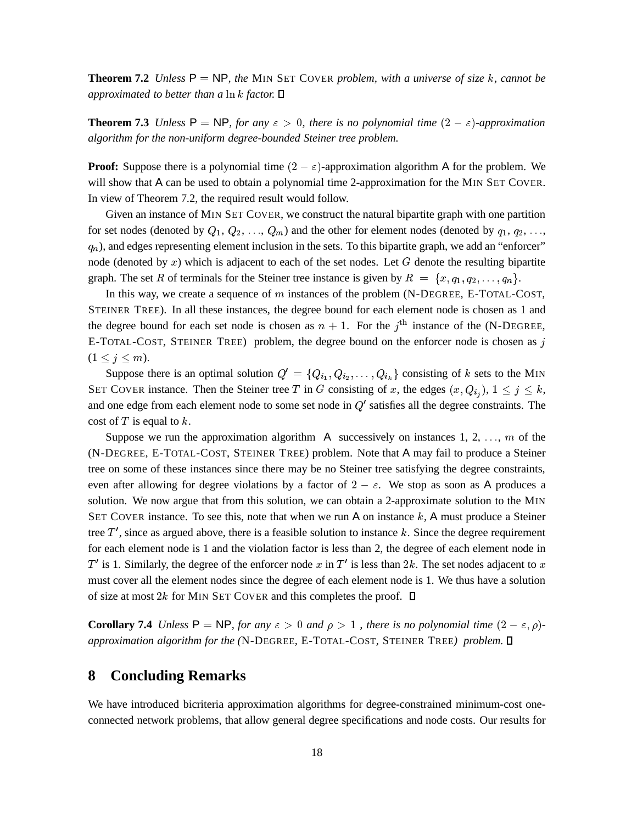**Theorem 7.2** *Unless*  $P = NP$ , *the* MIN SET COVER *problem, with a universe of size k, cannot be approximated to better than a* ln <sup>k</sup> *factor.*

**Theorem 7.3** *Unless*  $P = NP$ *, for any*  $\varepsilon > 0$ *, there is no polynomial time*  $(2 - \varepsilon)$ *-approximation algorithm for the non-uniform degree-bounded Steiner tree problem.*

**Proof:** Suppose there is a polynomial time  $(2 - \varepsilon)$ -approximation algorithm A for the problem. We will show that A can be used to obtain a polynomial time 2-approximation for the MIN SET COVER. In view of Theorem 7.2, the required result would follow.

Given an instance of MIN SET COVER, we construct the natural bipartite graph with one partition for set nodes (denoted by  $Q_1, Q_2, \ldots, Q_m$ ) and the other for element nodes (denoted by  $q_1, q_2, \ldots,$  $q_n$ ), and edges representing element inclusion in the sets. To this bipartite graph, we add an "enforcer" node (denoted by  $x$ ) which is adjacent to each of the set nodes. Let  $G$  denote the resulting bipartite graph. The set R of terminals for the Steiner tree instance is given by  $R = \{x, q_1, q_2, \ldots, q_n\}.$ 

In this way, we create a sequence of  $m$  instances of the problem (N-DEGREE, E-TOTAL-COST, STEINER TREE). In all these instances, the degree bound for each element node is chosen as 1 and the degree bound for each set node is chosen as  $n + 1$ . For the j<sup>th</sup> instance of the (N-DEGREE, E-TOTAL-COST, STEINER TREE) problem, the degree bound on the enforcer node is chosen as  $j$  $(1 \leq j \leq m).$ 

Suppose there is an optimal solution  $Q' = \{Q_{i_1}, Q_{i_2}, \ldots, Q_{i_k}\}$  consisting of k sets to the MIN SET COVER instance. Then the Steiner tree T in G consisting of x, the edges  $(x, Q_{i_j})$ ,  $1 \leq j \leq k$ , and one edge from each element node to some set node in  $Q'$  satisfies all the degree constraints. The cost of  $T$  is equal to  $k$ .

Suppose we run the approximation algorithm A successively on instances 1, 2,  $\dots$ , m of the (N-DEGREE, E-TOTAL-COST, STEINER TREE) problem. Note that A may fail to produce a Steiner tree on some of these instances since there may be no Steiner tree satisfying the degree constraints, even after allowing for degree violations by a factor of  $2 - \varepsilon$ . We stop as soon as A produces a solution. We now argue that from this solution, we can obtain a 2-approximate solution to the MIN SET COVER instance. To see this, note that when we run A on instance  $k$ , A must produce a Steiner tree  $T'$ , since as argued above, there is a feasible solution to instance k. Since the degree requirement for each element node is 1 and the violation factor is less than 2, the degree of each element node in  $T'$  is 1. Similarly, the degree of the enforcer node x in  $T'$  is less than 2k. The set nodes adjacent to x must cover all the element nodes since the degree of each element node is 1. We thus have a solution of size at most 2k for MIN SET COVER and this completes the proof.  $\Box$ 

**Corollary 7.4** *Unless*  $P = NP$ *, for any*  $\varepsilon > 0$  *and*  $\rho > 1$ *, there is no polynomial time*  $(2 - \varepsilon, \rho)$ *approximation algorithm for the (*N-DEGREE*,* E-TOTAL-COST*,* STEINER TREE*) problem.*

# **8 Concluding Remarks**

We have introduced bicriteria approximation algorithms for degree-constrained minimum-cost oneconnected network problems, that allow general degree specifications and node costs. Our results for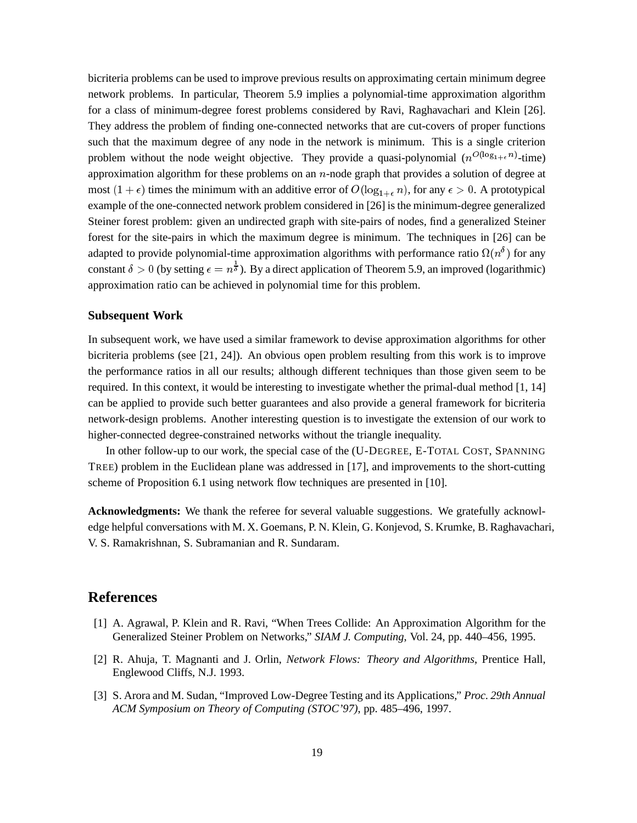bicriteria problems can be used to improve previous results on approximating certain minimum degree network problems. In particular, Theorem 5.9 implies a polynomial-time approximation algorithm for a class of minimum-degree forest problems considered by Ravi, Raghavachari and Klein [26]. They address the problem of finding one-connected networks that are cut-covers of proper functions such that the maximum degree of any node in the network is minimum. This is a single criterion problem without the node weight objective. They provide a quasi-polynomial  $(n^{O(\log_{1+\epsilon} n)}$ -time) approximation algorithm for these problems on an  $n$ -node graph that provides a solution of degree at most  $(1 + \epsilon)$  times the minimum with an additive error of  $O(\log_{1+\epsilon} n)$ , for any  $\epsilon > 0$ . A prototypical example of the one-connected network problem considered in [26] is the minimum-degree generalized Steiner forest problem: given an undirected graph with site-pairs of nodes, find a generalized Steiner forest for the site-pairs in which the maximum degree is minimum. The techniques in [26] can be adapted to provide polynomial-time approximation algorithms with performance ratio  $\Omega(n^{\delta})$  for any constant  $\delta > 0$  (by setting  $\epsilon = n^{\frac{1}{\delta}}$ ). By a direct application of Theorem 5.9, an improved (logarithmic) approximation ratio can be achieved in polynomial time for this problem.

#### **Subsequent Work**

In subsequent work, we have used a similar framework to devise approximation algorithms for other bicriteria problems (see [21, 24]). An obvious open problem resulting from this work is to improve the performance ratios in all our results; although different techniques than those given seem to be required. In this context, it would be interesting to investigate whether the primal-dual method [1, 14] can be applied to provide such better guarantees and also provide a general framework for bicriteria network-design problems. Another interesting question is to investigate the extension of our work to higher-connected degree-constrained networks without the triangle inequality.

In other follow-up to our work, the special case of the (U-DEGREE, E-TOTAL COST, SPANNING TREE) problem in the Euclidean plane was addressed in [17], and improvements to the short-cutting scheme of Proposition 6.1 using network flow techniques are presented in [10].

**Acknowledgments:** We thank the referee for several valuable suggestions. We gratefully acknowledge helpful conversations with M. X. Goemans, P. N. Klein, G. Konjevod, S. Krumke, B. Raghavachari, V. S. Ramakrishnan, S. Subramanian and R. Sundaram.

# **References**

- [1] A. Agrawal, P. Klein and R. Ravi, "When Trees Collide: An Approximation Algorithm for the Generalized Steiner Problem on Networks," *SIAM J. Computing*, Vol. 24, pp. 440–456, 1995.
- [2] R. Ahuja, T. Magnanti and J. Orlin, *Network Flows: Theory and Algorithms*, Prentice Hall, Englewood Cliffs, N.J. 1993.
- [3] S. Arora and M. Sudan, "Improved Low-Degree Testing and its Applications," *Proc. 29th Annual ACM Symposium on Theory of Computing (STOC'97)*, pp. 485–496, 1997.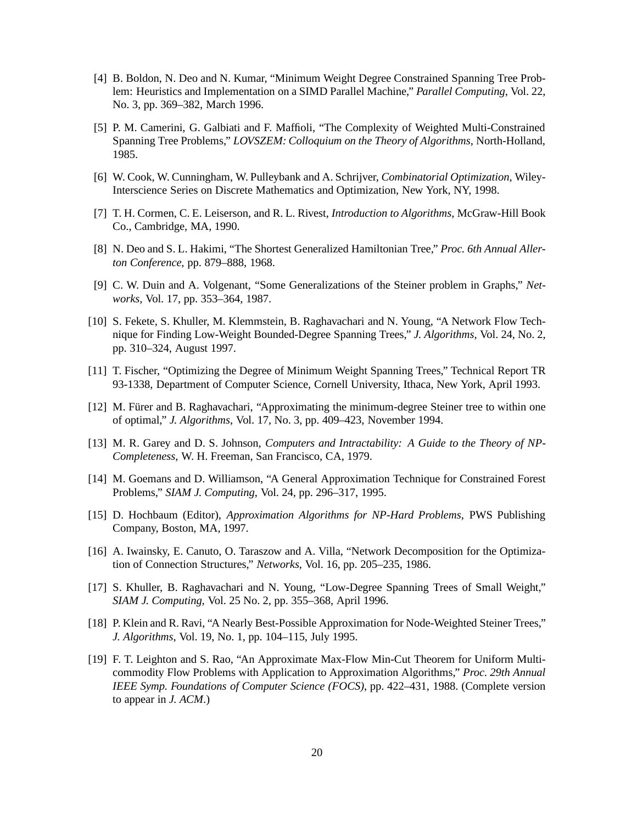- [4] B. Boldon, N. Deo and N. Kumar, "Minimum Weight Degree Constrained Spanning Tree Problem: Heuristics and Implementation on a SIMD Parallel Machine," *Parallel Computing*, Vol. 22, No. 3, pp. 369–382, March 1996.
- [5] P. M. Camerini, G. Galbiati and F. Maffioli, "The Complexity of Weighted Multi-Constrained Spanning Tree Problems," *LOVSZEM: Colloquium on the Theory of Algorithms,* North-Holland, 1985.
- [6] W. Cook, W. Cunningham, W. Pulleybank and A. Schrijver, *Combinatorial Optimization*, Wiley-Interscience Series on Discrete Mathematics and Optimization, New York, NY, 1998.
- [7] T. H. Cormen, C. E. Leiserson, and R. L. Rivest, *Introduction to Algorithms*, McGraw-Hill Book Co., Cambridge, MA, 1990.
- [8] N. Deo and S. L. Hakimi, "The Shortest Generalized Hamiltonian Tree," *Proc. 6th Annual Allerton Conference,* pp. 879–888, 1968.
- [9] C. W. Duin and A. Volgenant, "Some Generalizations of the Steiner problem in Graphs," *Networks*, Vol. 17, pp. 353–364, 1987.
- [10] S. Fekete, S. Khuller, M. Klemmstein, B. Raghavachari and N. Young, "A Network Flow Technique for Finding Low-Weight Bounded-Degree Spanning Trees," *J. Algorithms,* Vol. 24, No. 2, pp. 310–324, August 1997.
- [11] T. Fischer, "Optimizing the Degree of Minimum Weight Spanning Trees," Technical Report TR 93-1338, Department of Computer Science, Cornell University, Ithaca, New York, April 1993.
- [12] M. Fürer and B. Raghavachari, "Approximating the minimum-degree Steiner tree to within one of optimal," *J. Algorithms*, Vol. 17, No. 3, pp. 409–423, November 1994.
- [13] M. R. Garey and D. S. Johnson, *Computers and Intractability: A Guide to the Theory of NP-Completeness*, W. H. Freeman, San Francisco, CA, 1979.
- [14] M. Goemans and D. Williamson, "A General Approximation Technique for Constrained Forest Problems," *SIAM J. Computing*, Vol. 24, pp. 296–317, 1995.
- [15] D. Hochbaum (Editor), *Approximation Algorithms for NP-Hard Problems*, PWS Publishing Company, Boston, MA, 1997.
- [16] A. Iwainsky, E. Canuto, O. Taraszow and A. Villa, "Network Decomposition for the Optimization of Connection Structures," *Networks*, Vol. 16, pp. 205–235, 1986.
- [17] S. Khuller, B. Raghavachari and N. Young, "Low-Degree Spanning Trees of Small Weight," *SIAM J. Computing*, Vol. 25 No. 2, pp. 355–368, April 1996.
- [18] P. Klein and R. Ravi, "A Nearly Best-Possible Approximation for Node-Weighted Steiner Trees," *J. Algorithms*, Vol. 19, No. 1, pp. 104–115, July 1995.
- [19] F. T. Leighton and S. Rao, "An Approximate Max-Flow Min-Cut Theorem for Uniform Multicommodity Flow Problems with Application to Approximation Algorithms," *Proc. 29th Annual IEEE Symp. Foundations of Computer Science (FOCS)*, pp. 422–431, 1988. (Complete version to appear in *J. ACM*.)